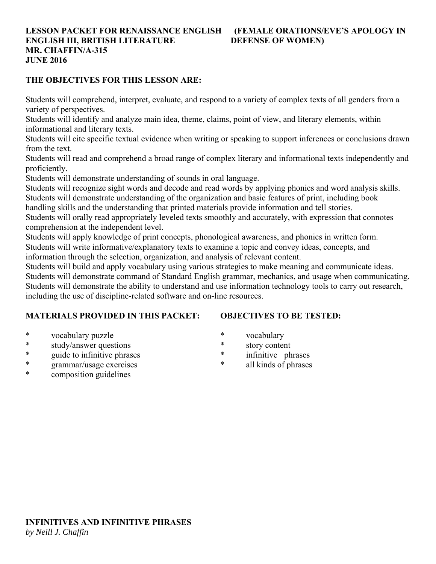#### **LESSON PACKET FOR RENAISSANCE ENGLISH (FEMALE ORATIONS/EVE'S APOLOGY IN ENGLISH III, BRITISH LITERATURE DEFENSE OF WOMEN) MR. CHAFFIN/A-315 JUNE 2016**

#### **THE OBJECTIVES FOR THIS LESSON ARE:**

Students will comprehend, interpret, evaluate, and respond to a variety of complex texts of all genders from a variety of perspectives.

Students will identify and analyze main idea, theme, claims, point of view, and literary elements, within informational and literary texts.

Students will cite specific textual evidence when writing or speaking to support inferences or conclusions drawn from the text.

Students will read and comprehend a broad range of complex literary and informational texts independently and proficiently.

Students will demonstrate understanding of sounds in oral language.

Students will recognize sight words and decode and read words by applying phonics and word analysis skills. Students will demonstrate understanding of the organization and basic features of print, including book

handling skills and the understanding that printed materials provide information and tell stories.

Students will orally read appropriately leveled texts smoothly and accurately, with expression that connotes comprehension at the independent level.

Students will apply knowledge of print concepts, phonological awareness, and phonics in written form. Students will write informative/explanatory texts to examine a topic and convey ideas, concepts, and

information through the selection, organization, and analysis of relevant content.

Students will build and apply vocabulary using various strategies to make meaning and communicate ideas. Students will demonstrate command of Standard English grammar, mechanics, and usage when communicating. Students will demonstrate the ability to understand and use information technology tools to carry out research, including the use of discipline-related software and on-line resources.

### **MATERIALS PROVIDED IN THIS PACKET:**

## **OBJECTIVES TO BE TESTED:**

- \* vocabulary puzzle
- \* study/answer questions
- \* guide to infinitive phrases
- \* grammar/usage exercises
- \* composition guidelines
- \* vocabulary
- \* story content
- \* infinitive phrases
- all kinds of phrases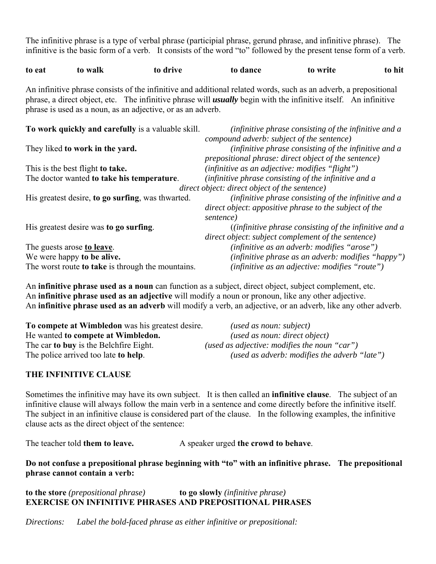The infinitive phrase is a type of verbal phrase (participial phrase, gerund phrase, and infinitive phrase). The infinitive is the basic form of a verb. It consists of the word "to" followed by the present tense form of a verb.

| to eat | to walk | to drive                                                                                                                | to dance | to write | to hit |
|--------|---------|-------------------------------------------------------------------------------------------------------------------------|----------|----------|--------|
|        |         | An infinitive phrase consists of the infinitive and additional related words, such as an adverb, a prepositional        |          |          |        |
|        |         | phrase, a direct object, etc. The infinitive phrase will <b>usually</b> begin with the infinitive itself. An infinitive |          |          |        |
|        |         | phrase is used as a noun, as an adjective, or as an adverb.                                                             |          |          |        |

| To work quickly and carefully is a valuable skill. | (infinitive phrase consisting of the infinitive and a<br>compound adverb: subject of the sentence)                           |
|----------------------------------------------------|------------------------------------------------------------------------------------------------------------------------------|
| They liked to work in the yard.                    | (infinitive phrase consisting of the infinitive and a<br><i>prepositional phrase: direct object of the sentence)</i>         |
| This is the best flight to take.                   | (infinitive as an adjective: modifies "flight")                                                                              |
| The doctor wanted to take his temperature.         | (infinitive phrase consisting of the infinitive and a                                                                        |
|                                                    | direct object: direct object of the sentence)                                                                                |
| His greatest desire, to go surfing, was thwarted.  | (infinitive phrase consisting of the infinitive and a<br>direct object: appositive phrase to the subject of the<br>sentence) |
| His greatest desire was to go surfing.             | $(i$ <i>nfinitive phrase consisting of the infinitive and a</i><br>direct object: subject complement of the sentence)        |
| The guests arose to leave.                         | (infinitive as an adverb: modifies "arose")                                                                                  |
| We were happy to be alive.                         | (infinitive phrase as an adverb: modifies "happy")                                                                           |
| The worst route to take is through the mountains.  | (infinitive as an adjective: modifies "route")                                                                               |

An **infinitive phrase used as a noun** can function as a subject, direct object, subject complement, etc. An **infinitive phrase used as an adjective** will modify a noun or pronoun, like any other adjective. An **infinitive phrase used as an adverb** will modify a verb, an adjective, or an adverb, like any other adverb.

| To compete at Wimbledon was his greatest desire. | (used as noun: subject)                      |
|--------------------------------------------------|----------------------------------------------|
| He wanted to compete at Wimbledon.               | (used as noun: direct object)                |
| The car to buy is the Belchfire Eight.           | (used as adjective: modifies the noun "car") |
| The police arrived too late <b>to help</b> .     | (used as adverb: modifies the adverb "late") |

### **THE INFINITIVE CLAUSE**

Sometimes the infinitive may have its own subject. It is then called an **infinitive clause**. The subject of an infinitive clause will always follow the main verb in a sentence and come directly before the infinitive itself. The subject in an infinitive clause is considered part of the clause. In the following examples, the infinitive clause acts as the direct object of the sentence:

The teacher told **them to leave.** A speaker urged **the crowd to behave**.

**Do not confuse a prepositional phrase beginning with "to" with an infinitive phrase. The prepositional phrase cannot contain a verb:**

**to the store** *(prepositional phrase)* **to go slowly** *(infinitive phrase)* **EXERCISE ON INFINITIVE PHRASES AND PREPOSITIONAL PHRASES**

*Directions: Label the bold-faced phrase as either infinitive or prepositional:*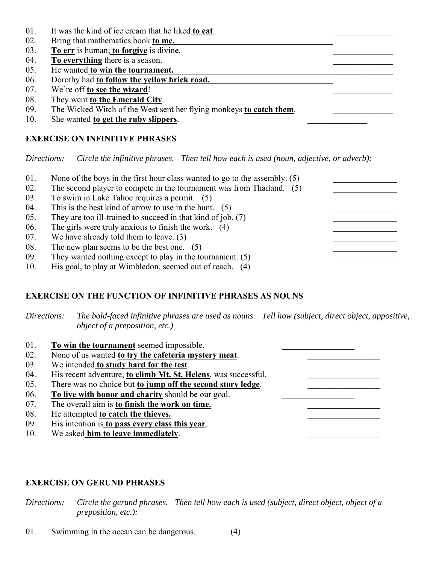- 01. It was the kind of ice cream that he liked **to eat**.
- 02. Bring that mathematics book **to me.**
- 03. **To err** is human; to forgive is divine.
- 04.  $\overline{To everything}$  there is a season.
- 05. He wanted **to win the tournament.**
- 06. Dorothy had **to follow the yellow brick road.**
- 07. We're off **to see the wizard**!
- 08. They went **to the Emerald City**.
- 09. The Wicked Witch of the West sent her flying monkeys **to catch them**.
- 10. She wanted **to get the ruby slippers**.

## **EXERCISE ON INFINITIVE PHRASES**

*Directions: Circle the infinitive phrases. Then tell how each is used (noun, adjective, or adverb):*

| 01. | None of the boys in the first hour class wanted to go to the assembly. $(5)$ |  |
|-----|------------------------------------------------------------------------------|--|
| 02. | The second player to compete in the tournament was from Thailand. (5)        |  |
| 03. | To swim in Lake Tahoe requires a permit. (5)                                 |  |
| 04. | This is the best kind of arrow to use in the hunt. $(5)$                     |  |
| 05. | They are too ill-trained to succeed in that kind of job. (7)                 |  |
| 06. | The girls were truly anxious to finish the work. $(4)$                       |  |
| 07. | We have already told them to leave. $(3)$                                    |  |
| 08. | The new plan seems to be the best one. $(5)$                                 |  |
| 09. | They wanted nothing except to play in the tournament. $(5)$                  |  |
| 10. | His goal, to play at Wimbledon, seemed out of reach. (4)                     |  |

# **EXERCISE ON THE FUNCTION OF INFINITIVE PHRASES AS NOUNS**

*Directions: The bold-faced infinitive phrases are used as nouns. Tell how (subject, direct object, appositive, object of a preposition, etc.)*

| 01. | To win the tournament seemed impossible.                       |
|-----|----------------------------------------------------------------|
| 02. | None of us wanted to try the cafeteria mystery meat.           |
| 03. | We intended to study hard for the test.                        |
| 04. | His recent adventure, to climb Mt. St. Helens, was successful. |
| 05. | There was no choice but to jump off the second story ledge.    |
| 06. | To live with honor and charity should be our goal.             |
| 07. | The overall aim is <b>to finish the work on time.</b>          |
| 08. | He attempted to catch the thieves.                             |
| 09. | His intention is to pass every class this year.                |
| 10. | We asked him to leave immediately.                             |

### **EXERCISE ON GERUND PHRASES**

*Directions: Circle the gerund phrases. Then tell how each is used (subject, direct object, object of a preposition, etc.):*

01. Swimming in the ocean can be dangerous.  $(4)$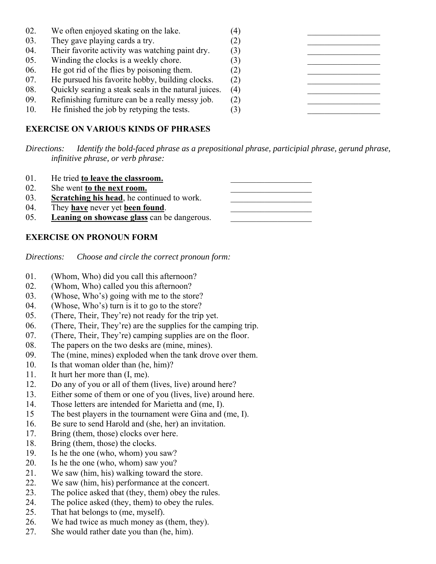| 02. | We often enjoyed skating on the lake.                | $\left(4\right)$ |  |
|-----|------------------------------------------------------|------------------|--|
| 03. | They gave playing cards a try.                       | (2)              |  |
| 04. | Their favorite activity was watching paint dry.      | (3)              |  |
| 05. | Winding the clocks is a weekly chore.                | $\left[3\right]$ |  |
| 06. | He got rid of the flies by poisoning them.           | (2)              |  |
| 07. | He pursued his favorite hobby, building clocks.      | (2)              |  |
| 08. | Quickly searing a steak seals in the natural juices. | (4)              |  |
| 09. | Refinishing furniture can be a really messy job.     | (2)              |  |
| 10. | He finished the job by retyping the tests.           | $\left(3\right)$ |  |

## **EXERCISE ON VARIOUS KINDS OF PHRASES**

*Directions: Identify the bold-faced phrase as a prepositional phrase, participial phrase, gerund phrase, infinitive phrase, or verb phrase:*

| 01. | He tried to leave the classroom.                   |  |
|-----|----------------------------------------------------|--|
| 02. | She went to the next room.                         |  |
| 03. | Scratching his head, he continued to work.         |  |
| 04. | They have never yet been found.                    |  |
| 05. | <b>Leaning on showcase glass</b> can be dangerous. |  |

### **EXERCISE ON PRONOUN FORM**

*Directions: Choose and circle the correct pronoun form:*

- 01. (Whom, Who) did you call this afternoon?
- 02. (Whom, Who) called you this afternoon?
- 03. (Whose, Who's) going with me to the store?
- 04. (Whose, Who's) turn is it to go to the store?
- 05. (There, Their, They're) not ready for the trip yet.
- 06. (There, Their, They're) are the supplies for the camping trip.
- 07. (There, Their, They're) camping supplies are on the floor.
- 08. The papers on the two desks are (mine, mines).
- 09. The (mine, mines) exploded when the tank drove over them.
- 10. Is that woman older than (he, him)?
- 11. It hurt her more than (I, me).
- 12. Do any of you or all of them (lives, live) around here?
- 13. Either some of them or one of you (lives, live) around here.
- 14. Those letters are intended for Marietta and (me, I).
- 15 The best players in the tournament were Gina and (me, I).
- 16. Be sure to send Harold and (she, her) an invitation.
- 17. Bring (them, those) clocks over here.
- 18. Bring (them, those) the clocks.
- 19. Is he the one (who, whom) you saw?
- 20. Is he the one (who, whom) saw you?
- 21. We saw (him, his) walking toward the store.
- 22. We saw (him, his) performance at the concert.
- 23. The police asked that (they, them) obey the rules.
- 24. The police asked (they, them) to obey the rules.
- 25. That hat belongs to (me, myself).
- 26. We had twice as much money as (them, they).
- 27. She would rather date you than (he, him).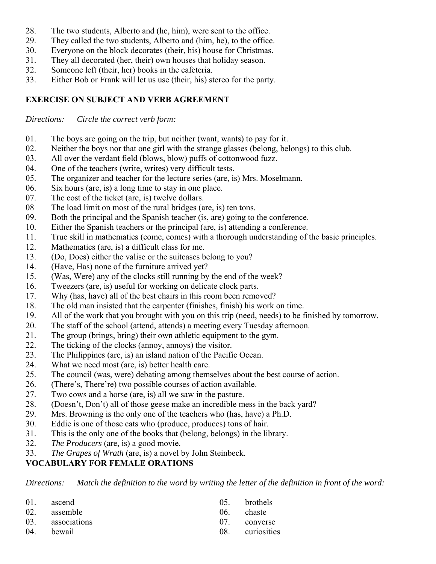- 28. The two students, Alberto and (he, him), were sent to the office.
- 29. They called the two students, Alberto and (him, he), to the office.
- 30. Everyone on the block decorates (their, his) house for Christmas.
- 31. They all decorated (her, their) own houses that holiday season.
- 32. Someone left (their, her) books in the cafeteria.
- 33. Either Bob or Frank will let us use (their, his) stereo for the party.

## **EXERCISE ON SUBJECT AND VERB AGREEMENT**

*Directions: Circle the correct verb form:*

- 01. The boys are going on the trip, but neither (want, wants) to pay for it.
- 02. Neither the boys nor that one girl with the strange glasses (belong, belongs) to this club.
- 03. All over the verdant field (blows, blow) puffs of cottonwood fuzz.
- 04. One of the teachers (write, writes) very difficult tests.
- 05. The organizer and teacher for the lecture series (are, is) Mrs. Moselmann.
- 06. Six hours (are, is) a long time to stay in one place.
- 07. The cost of the ticket (are, is) twelve dollars.
- 08 The load limit on most of the rural bridges (are, is) ten tons.
- 09. Both the principal and the Spanish teacher (is, are) going to the conference.
- 10. Either the Spanish teachers or the principal (are, is) attending a conference.
- 11. True skill in mathematics (come, comes) with a thorough understanding of the basic principles.
- 12. Mathematics (are, is) a difficult class for me.
- 13. (Do, Does) either the valise or the suitcases belong to you?
- 14. (Have, Has) none of the furniture arrived yet?
- 15. (Was, Were) any of the clocks still running by the end of the week?
- 16. Tweezers (are, is) useful for working on delicate clock parts.
- 17. Why (has, have) all of the best chairs in this room been removed?
- 18. The old man insisted that the carpenter (finishes, finish) his work on time.
- 19. All of the work that you brought with you on this trip (need, needs) to be finished by tomorrow.
- 20. The staff of the school (attend, attends) a meeting every Tuesday afternoon.
- 21. The group (brings, bring) their own athletic equipment to the gym.
- 22. The ticking of the clocks (annoy, annoys) the visitor.
- 23. The Philippines (are, is) an island nation of the Pacific Ocean.
- 24. What we need most (are, is) better health care.
- 25. The council (was, were) debating among themselves about the best course of action.
- 26. (There's, There're) two possible courses of action available.
- 27. Two cows and a horse (are, is) all we saw in the pasture.
- 28. (Doesn't, Don't) all of those geese make an incredible mess in the back yard?
- 29. Mrs. Browning is the only one of the teachers who (has, have) a Ph.D.
- 30. Eddie is one of those cats who (produce, produces) tons of hair.
- 31. This is the only one of the books that (belong, belongs) in the library.
- 32. *The Producers* (are, is) a good movie.
- 33. *The Grapes of Wrath* (are, is) a novel by John Steinbeck.

### **VOCABULARY FOR FEMALE ORATIONS**

*Directions: Match the definition to the word by writing the letter of the definition in front of the word:*

| 01. ascend<br>02. assemble     | 05. brothels<br>06. chaste      |
|--------------------------------|---------------------------------|
| 03. associations<br>04. bewail | 07. converse<br>08. curiosities |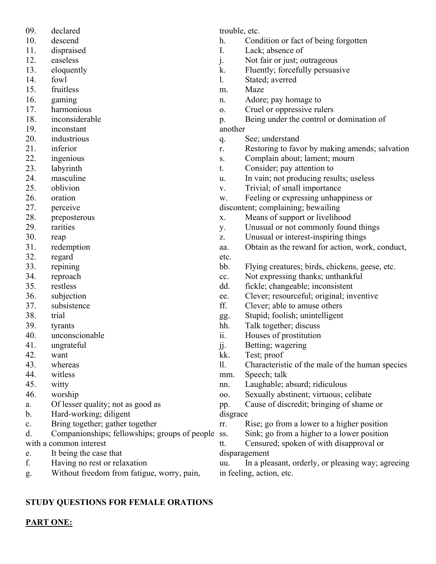- 09. declared
- 10. descend
- 11. dispraised
- 12. easeless
- 13. eloquently
- 14. fowl
- 15. fruitless
- 16. gaming
- 17. harmonious
- 18. inconsiderable
- 19. inconstant
- 20. industrious
- 21. inferior
- 22. ingenious
- 23. labyrinth
- 24. masculine
- 25. oblivion
- 26. oration
- 27. perceive
- 28. preposterous
- 29. rarities
- 30. reap
- 31. redemption
- 32. regard
- 33. repining
- 34. reproach
- 35. restless
- 36. subjection
- 37. subsistence
- 38. trial
- 39. tyrants
- 40. unconscionable
- 41. ungrateful
- 42. want
- 43. whereas
- 44. witless
- 45. witty
- 46. worship
- a. Of lesser quality; not as good as
- b. Hard-working; diligent
- c. Bring together; gather together
- d. Companionships; fellowships; groups of people with a common interest
- e. It being the case that
- f. Having no rest or relaxation
- g. Without freedom from fatigue, worry, pain,

trouble, etc.

- h. Condition or fact of being forgotten
- I. Lack; absence of
- j. Not fair or just; outrageous
- k. Fluently; forcefully persuasive
- l. Stated; averred
- m. Maze
- n. Adore; pay homage to
- o. Cruel or oppressive rulers
- p. Being under the control or domination of another
- q. See; understand
- r. Restoring to favor by making amends; salvation
- s. Complain about; lament; mourn
- t. Consider; pay attention to
- u. In vain; not producing results; useless
- v. Trivial; of small importance

w. Feeling or expressing unhappiness or

- discontent; complaining; bewailing
- x. Means of support or livelihood
- y. Unusual or not commonly found things
- z. Unusual or interest-inspiring things
- aa. Obtain as the reward for action, work, conduct, etc.
- bb. Flying creatures; birds, chickens, geese, etc.
- cc. Not expressing thanks; unthankful
- dd. fickle; changeable; inconsistent
- ee. Clever; resourceful; original; inventive
- ff. Clever; able to amuse others
- gg. Stupid; foolish; unintelligent
- hh. Talk together; discuss
- ii. Houses of prostitution
- jj. Betting; wagering
- kk. Test; proof
- ll. Characteristic of the male of the human species

mm. Speech; talk

- nn. Laughable; absurd; ridiculous
- oo. Sexually abstinent; virtuous; celibate

pp. Cause of discredit; bringing of shame or disgrace

rr. Rise; go from a lower to a higher position

Sink; go from a higher to a lower position

tt. Censured; spoken of with disapproval or disparagement

uu. In a pleasant, orderly, or pleasing way; agreeing in feeling, action, etc.

# **STUDY QUESTIONS FOR FEMALE ORATIONS**

**PART ONE:**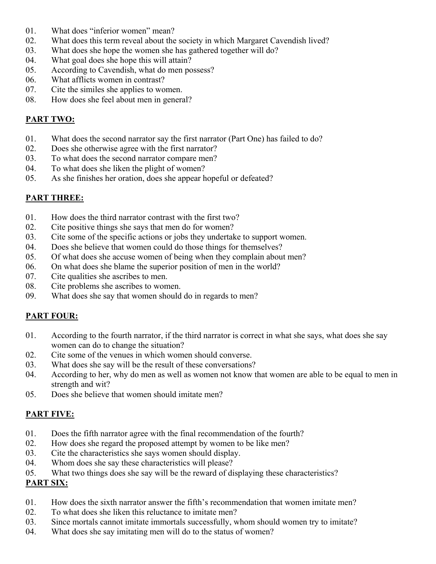- 01. What does "inferior women" mean?
- 02. What does this term reveal about the society in which Margaret Cavendish lived?
- 03. What does she hope the women she has gathered together will do?
- 04. What goal does she hope this will attain?
- 05. According to Cavendish, what do men possess?
- 06. What afflicts women in contrast?
- 07. Cite the similes she applies to women.
- 08. How does she feel about men in general?

# **PART TWO:**

- 01. What does the second narrator say the first narrator (Part One) has failed to do?
- 02. Does she otherwise agree with the first narrator?
- 03. To what does the second narrator compare men?
- 04. To what does she liken the plight of women?
- 05. As she finishes her oration, does she appear hopeful or defeated?

## **PART THREE:**

- 01. How does the third narrator contrast with the first two?
- 02. Cite positive things she says that men do for women?
- 03. Cite some of the specific actions or jobs they undertake to support women.
- 04. Does she believe that women could do those things for themselves?
- 05. Of what does she accuse women of being when they complain about men?
- 06. On what does she blame the superior position of men in the world?
- 07. Cite qualities she ascribes to men.
- 08. Cite problems she ascribes to women.
- 09. What does she say that women should do in regards to men?

### **PART FOUR:**

- 01. According to the fourth narrator, if the third narrator is correct in what she says, what does she say women can do to change the situation?
- 02. Cite some of the venues in which women should converse.
- 03. What does she say will be the result of these conversations?
- 04. According to her, why do men as well as women not know that women are able to be equal to men in strength and wit?
- 05. Does she believe that women should imitate men?

# **PART FIVE:**

- 01. Does the fifth narrator agree with the final recommendation of the fourth?
- 02. How does she regard the proposed attempt by women to be like men?
- 03. Cite the characteristics she says women should display.
- 04. Whom does she say these characteristics will please?
- 05. What two things does she say will be the reward of displaying these characteristics?

### **PART SIX:**

- 01. How does the sixth narrator answer the fifth's recommendation that women imitate men?
- 02. To what does she liken this reluctance to imitate men?
- 03. Since mortals cannot imitate immortals successfully, whom should women try to imitate?
- 04. What does she say imitating men will do to the status of women?